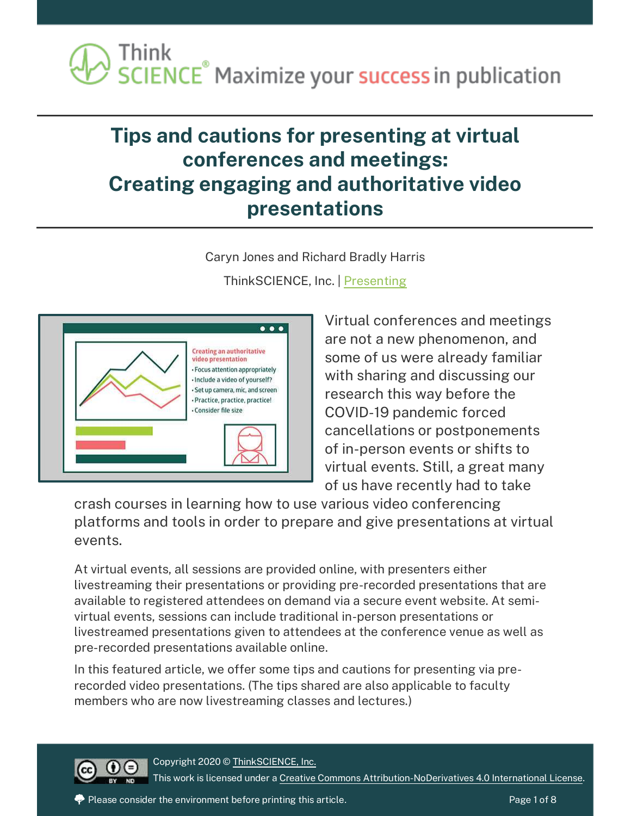# **Tips and cautions for presenting at virtual conferences and meetings: Creating engaging and authoritative video presentations**

Caryn Jones and Richard Bradly Harris





Virtual conferences and meetings are not a new phenomenon, and some of us were already familiar with sharing and discussing our research this way before the COVID-19 pandemic forced cancellations or postponements of in-person events or shifts to virtual events. Still, a great many of us have recently had to take

crash courses in learning how to use various video conferencing platforms and tools in order to prepare and give presentations at virtual events.

At virtual events, all sessions are provided online, with presenters either livestreaming their presentations or providing pre-recorded presentations that are available to registered attendees on demand via a secure event website. At semivirtual events, sessions can include traditional in-person presentations or livestreamed presentations given to attendees at the conference venue as well as pre-recorded presentations available online.

In this featured article, we offer some tips and cautions for presenting via prerecorded video presentations. (The tips shared are also applicable to faculty members who are now livestreaming classes and lectures.)



Copyright 2020 [© ThinkSCIENCE, Inc.](https://thinkscience.co.jp/en/) This work is licensed under [a Creative Commons Attribution-NoDerivatives 4.0 International License.](https://creativecommons.org/licenses/by-nd/4.0/)

Please consider the environment before printing this article.  $\rho$  and  $\rho$  and  $\rho$  are 1 of 8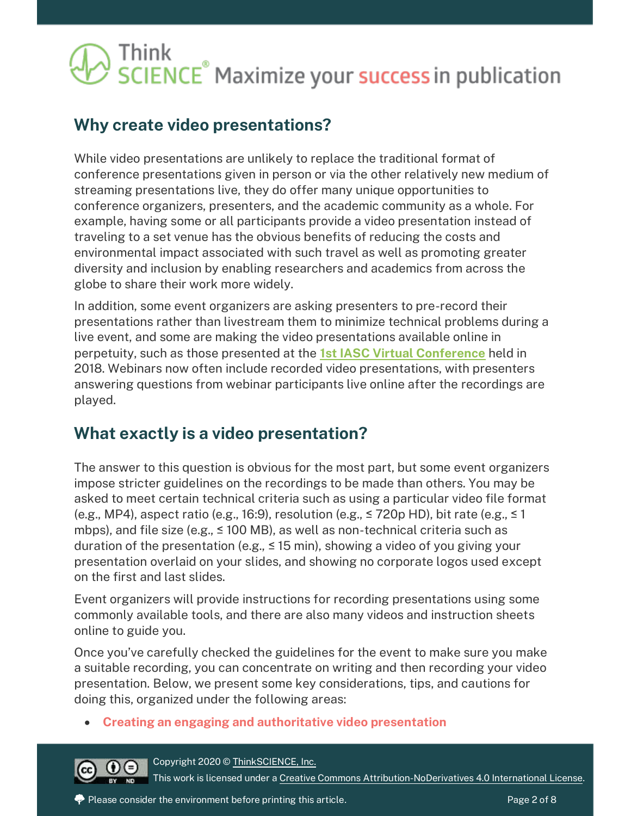### **Why create video presentations?**

While video presentations are unlikely to replace the traditional format of conference presentations given in person or via the other relatively new medium of streaming presentations live, they do offer many unique opportunities to conference organizers, presenters, and the academic community as a whole. For example, having some or all participants provide a video presentation instead of traveling to a set venue has the obvious benefits of reducing the costs and environmental impact associated with such travel as well as promoting greater diversity and inclusion by enabling researchers and academics from across the globe to share their work more widely.

In addition, some event organizers are asking presenters to pre-record their presentations rather than livestream them to minimize technical problems during a live event, and some are making the video presentations available online in perpetuity, such as those presented at the **[1st IASC Virtual Conference](https://iasc-commons.org/1st-iasc-commons-virtual-conference-2018-home/)** held in 2018. Webinars now often include recorded video presentations, with presenters answering questions from webinar participants live online after the recordings are played.

### **What exactly is a video presentation?**

The answer to this question is obvious for the most part, but some event organizers impose stricter guidelines on the recordings to be made than others. You may be asked to meet certain technical criteria such as using a particular video file format (e.g., MP4), aspect ratio (e.g., 16:9), resolution (e.g.,  $\leq$  720p HD), bit rate (e.g.,  $\leq$  1 mbps), and file size (e.g., ≤ 100 MB), as well as non-technical criteria such as duration of the presentation (e.g.,  $\leq$  15 min), showing a video of you giving your presentation overlaid on your slides, and showing no corporate logos used except on the first and last slides.

Event organizers will provide instructions for recording presentations using some commonly available tools, and there are also many videos and instruction sheets online to guide you.

Once you've carefully checked the guidelines for the event to make sure you make a suitable recording, you can concentrate on writing and then recording your video presentation. Below, we present some key considerations, tips, and cautions for doing this, organized under the following areas:

• **Creating an engaging and authoritative video presentation**



Copyright 2020 [© ThinkSCIENCE, Inc.](https://thinkscience.co.jp/en/)

This work is licensed under [a Creative Commons Attribution-NoDerivatives 4.0 International License.](https://creativecommons.org/licenses/by-nd/4.0/)

Please consider the environment before printing this article.  $P$  and  $P$  are 2 of 8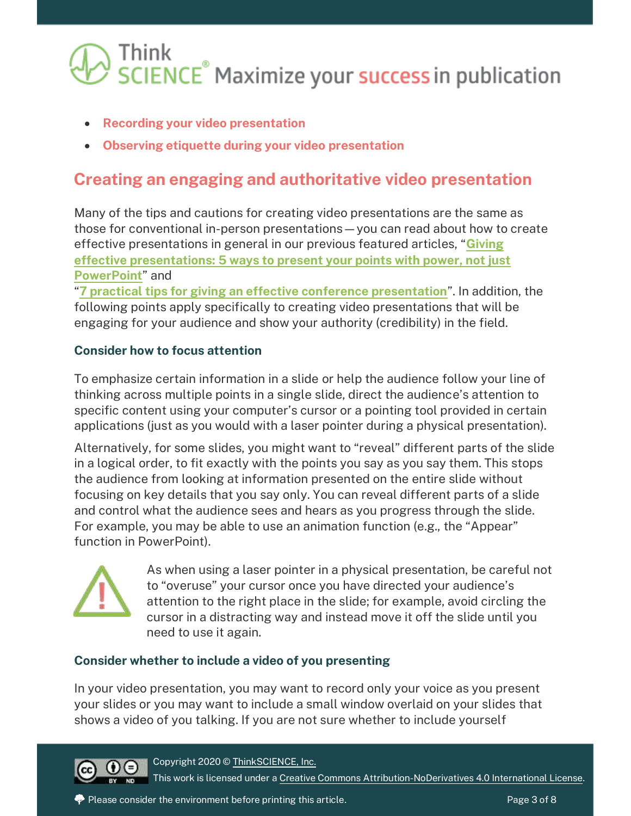- **Recording your video presentation**
- **Observing etiquette during your video presentation**

### **Creating an engaging and authoritative video presentation**

Many of the tips and cautions for creating video presentations are the same as those for conventional in-person presentations—you can read about how to create effective presentations in general in our previous featured articles, "**[Giving](https://thinkscience.co.jp/en/articles/effective-presentations)  [effective presentations: 5 ways to present your points with power, not just](https://thinkscience.co.jp/en/articles/effective-presentations)  [PowerPoint](https://thinkscience.co.jp/en/articles/effective-presentations)**" and

"**[7 practical tips for giving an effective conference presentation](https://thinkscience.co.jp/en/articles/conference-presentation-tips)**". In addition, the following points apply specifically to creating video presentations that will be engaging for your audience and show your authority (credibility) in the field.

#### **Consider how to focus attention**

To emphasize certain information in a slide or help the audience follow your line of thinking across multiple points in a single slide, direct the audience's attention to specific content using your computer's cursor or a pointing tool provided in certain applications (just as you would with a laser pointer during a physical presentation).

Alternatively, for some slides, you might want to "reveal" different parts of the slide in a logical order, to fit exactly with the points you say as you say them. This stops the audience from looking at information presented on the entire slide without focusing on key details that you say only. You can reveal different parts of a slide and control what the audience sees and hears as you progress through the slide. For example, you may be able to use an animation function (e.g., the "Appear" function in PowerPoint).



As when using a laser pointer in a physical presentation, be careful not to "overuse" your cursor once you have directed your audience's attention to the right place in the slide; for example, avoid circling the cursor in a distracting way and instead move it off the slide until you need to use it again.

#### **Consider whether to include a video of you presenting**

In your video presentation, you may want to record only your voice as you present your slides or you may want to include a small window overlaid on your slides that shows a video of you talking. If you are not sure whether to include yourself



Copyright 2020 [© ThinkSCIENCE, Inc.](https://thinkscience.co.jp/en/) This work is licensed under [a Creative Commons Attribution-NoDerivatives 4.0 International License.](https://creativecommons.org/licenses/by-nd/4.0/)

Please consider the environment before printing this article.  $\blacksquare$  Please 2 of 8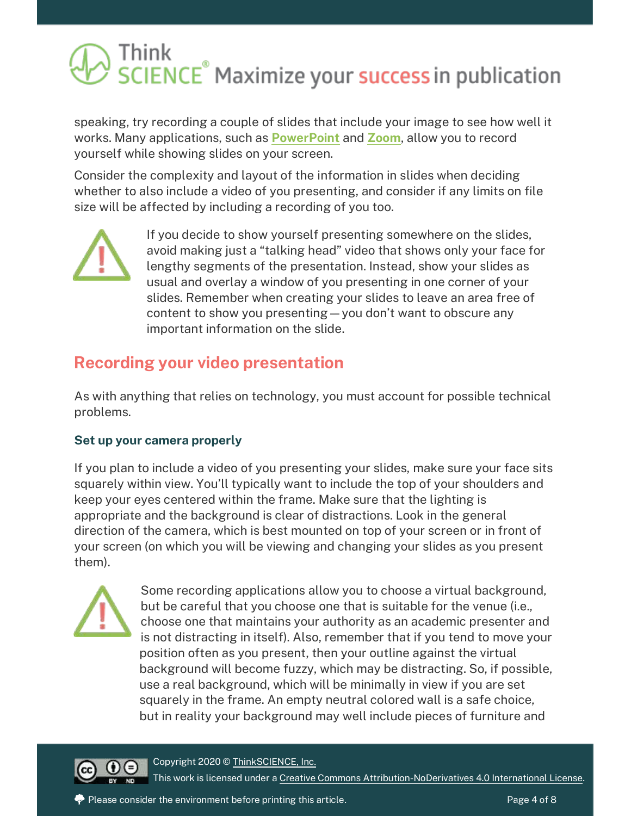speaking, try recording a couple of slides that include your image to see how well it works. Many applications, such as **[PowerPoint](https://support.microsoft.com/en-us/office/record-a-slide-show-with-narration-and-slide-timings-0b9502c6-5f6c-40ae-b1e7-e47d8741161c)** and **[Zoom](https://blog.smu.edu/itconnect/2017/08/23/using-zoom-create-quick-easy-screen-recordings-free/)**, allow you to record yourself while showing slides on your screen.

Consider the complexity and layout of the information in slides when deciding whether to also include a video of you presenting, and consider if any limits on file size will be affected by including a recording of you too.



If you decide to show yourself presenting somewhere on the slides, avoid making just a "talking head" video that shows only your face for lengthy segments of the presentation. Instead, show your slides as usual and overlay a window of you presenting in one corner of your slides. Remember when creating your slides to leave an area free of content to show you presenting—you don't want to obscure any important information on the slide.

### **Recording your video presentation**

As with anything that relies on technology, you must account for possible technical problems.

#### **Set up your camera properly**

If you plan to include a video of you presenting your slides, make sure your face sits squarely within view. You'll typically want to include the top of your shoulders and keep your eyes centered within the frame. Make sure that the lighting is appropriate and the background is clear of distractions. Look in the general direction of the camera, which is best mounted on top of your screen or in front of your screen (on which you will be viewing and changing your slides as you present them).



Some recording applications allow you to choose a virtual background, but be careful that you choose one that is suitable for the venue (i.e., choose one that maintains your authority as an academic presenter and is not distracting in itself). Also, remember that if you tend to move your position often as you present, then your outline against the virtual background will become fuzzy, which may be distracting. So, if possible, use a real background, which will be minimally in view if you are set squarely in the frame. An empty neutral colored wall is a safe choice, but in reality your background may well include pieces of furniture and



Copyright 2020 [© ThinkSCIENCE, Inc.](https://thinkscience.co.jp/en/) This work is licensed under [a Creative Commons Attribution-NoDerivatives 4.0 International License.](https://creativecommons.org/licenses/by-nd/4.0/)

Please consider the environment before printing this article.  $\blacksquare$  Please  $\blacksquare$  Page 4 of 8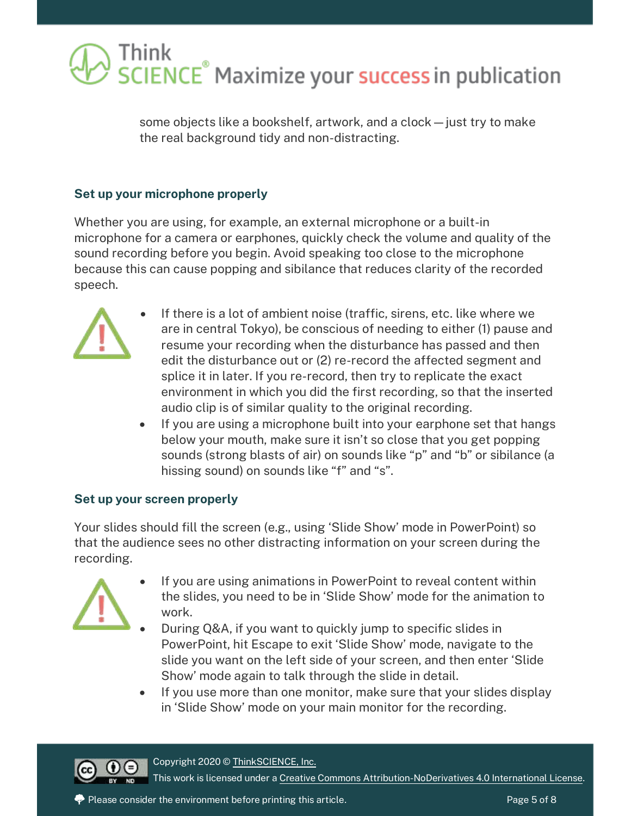

some objects like a bookshelf, artwork, and a clock—just try to make the real background tidy and non-distracting.

#### **Set up your microphone properly**

Whether you are using, for example, an external microphone or a built-in microphone for a camera or earphones, quickly check the volume and quality of the sound recording before you begin. Avoid speaking too close to the microphone because this can cause popping and sibilance that reduces clarity of the recorded speech.



- If there is a lot of ambient noise (traffic, sirens, etc. like where we are in central Tokyo), be conscious of needing to either (1) pause and resume your recording when the disturbance has passed and then edit the disturbance out or (2) re-record the affected segment and splice it in later. If you re-record, then try to replicate the exact environment in which you did the first recording, so that the inserted audio clip is of similar quality to the original recording.
- If you are using a microphone built into your earphone set that hangs below your mouth, make sure it isn't so close that you get popping sounds (strong blasts of air) on sounds like "p" and "b" or sibilance (a hissing sound) on sounds like "f" and "s".

#### **Set up your screen properly**

Your slides should fill the screen (e.g., using 'Slide Show' mode in PowerPoint) so that the audience sees no other distracting information on your screen during the recording.



- If you are using animations in PowerPoint to reveal content within the slides, you need to be in 'Slide Show' mode for the animation to work.
- During Q&A, if you want to quickly jump to specific slides in PowerPoint, hit Escape to exit 'Slide Show' mode, navigate to the slide you want on the left side of your screen, and then enter 'Slide Show' mode again to talk through the slide in detail.
- If you use more than one monitor, make sure that your slides display in 'Slide Show' mode on your main monitor for the recording.



This work is licensed under [a Creative Commons Attribution-NoDerivatives 4.0 International License.](https://creativecommons.org/licenses/by-nd/4.0/)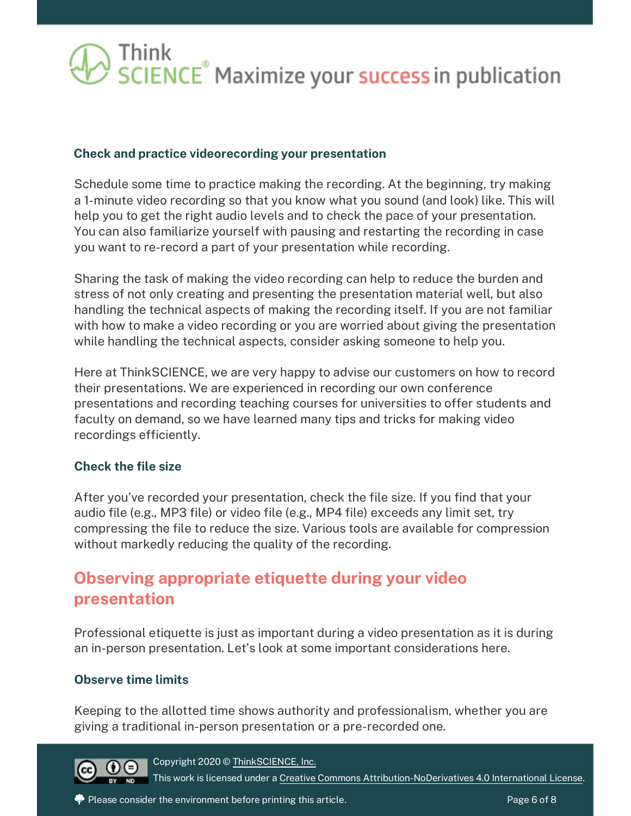#### **Check and practice videorecording your presentation**

Schedule some time to practice making the recording. At the beginning, try making a 1-minute video recording so that you know what you sound (and look) like. This will help you to get the right audio levels and to check the pace of your presentation. You can also familiarize yourself with pausing and restarting the recording in case you want to re-record a part of your presentation while recording.

Sharing the task of making the video recording can help to reduce the burden and stress of not only creating and presenting the presentation material well, but also handling the technical aspects of making the recording itself. If you are not familiar with how to make a video recording or you are worried about giving the presentation while handling the technical aspects, consider asking someone to help you.

Here at ThinkSCIENCE, we are very happy to advise our customers on how to record their presentations. We are experienced in recording our own conference presentations and recording teaching courses for universities to offer students and faculty on demand, so we have learned many tips and tricks for making video recordings efficiently.

#### **Check the file size**

After you've recorded your presentation, check the file size. If you find that your audio file (e.g., MP3 file) or video file (e.g., MP4 file) exceeds any limit set, try compressing the file to reduce the size. Various tools are available for compression without markedly reducing the quality of the recording.

### **Observing appropriate etiquette during your video presentation**

Professional etiquette is just as important during a video presentation as it is during an in-person presentation. Let's look at some important considerations here.

#### **Observe time limits**

Keeping to the allotted time shows authority and professionalism, whether you are giving a traditional in-person presentation or a pre-recorded one.



Copyright 2020 [© ThinkSCIENCE, Inc.](https://thinkscience.co.jp/en/)

This work is licensed under [a Creative Commons Attribution-NoDerivatives 4.0 International License.](https://creativecommons.org/licenses/by-nd/4.0/)

Please consider the environment before printing this article.  $\blacksquare$  Please consider the environment before printing this article.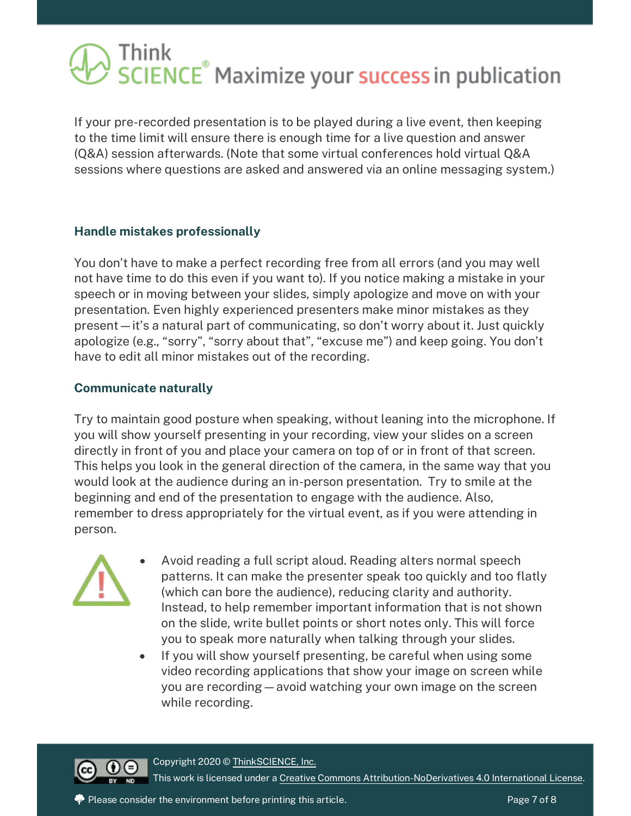If your pre-recorded presentation is to be played during a live event, then keeping to the time limit will ensure there is enough time for a live question and answer (Q&A) session afterwards. (Note that some virtual conferences hold virtual Q&A sessions where questions are asked and answered via an online messaging system.)

#### **Handle mistakes professionally**

You don't have to make a perfect recording free from all errors (and you may well not have time to do this even if you want to). If you notice making a mistake in your speech or in moving between your slides, simply apologize and move on with your presentation. Even highly experienced presenters make minor mistakes as they present—it's a natural part of communicating, so don't worry about it. Just quickly apologize (e.g., "sorry", "sorry about that", "excuse me") and keep going. You don't have to edit all minor mistakes out of the recording.

#### **Communicate naturally**

Try to maintain good posture when speaking, without leaning into the microphone. If you will show yourself presenting in your recording, view your slides on a screen directly in front of you and place your camera on top of or in front of that screen. This helps you look in the general direction of the camera, in the same way that you would look at the audience during an in-person presentation. Try to smile at the beginning and end of the presentation to engage with the audience. Also, remember to dress appropriately for the virtual event, as if you were attending in person.



- Avoid reading a full script aloud. Reading alters normal speech patterns. It can make the presenter speak too quickly and too flatly (which can bore the audience), reducing clarity and authority. Instead, to help remember important information that is not shown on the slide, write bullet points or short notes only. This will force you to speak more naturally when talking through your slides.
- If you will show yourself presenting, be careful when using some video recording applications that show your image on screen while you are recording—avoid watching your own image on the screen while recording.



Copyright 2020 [© ThinkSCIENCE, Inc.](https://thinkscience.co.jp/en/) This work is licensed under [a Creative Commons Attribution-NoDerivatives 4.0 International License.](https://creativecommons.org/licenses/by-nd/4.0/)